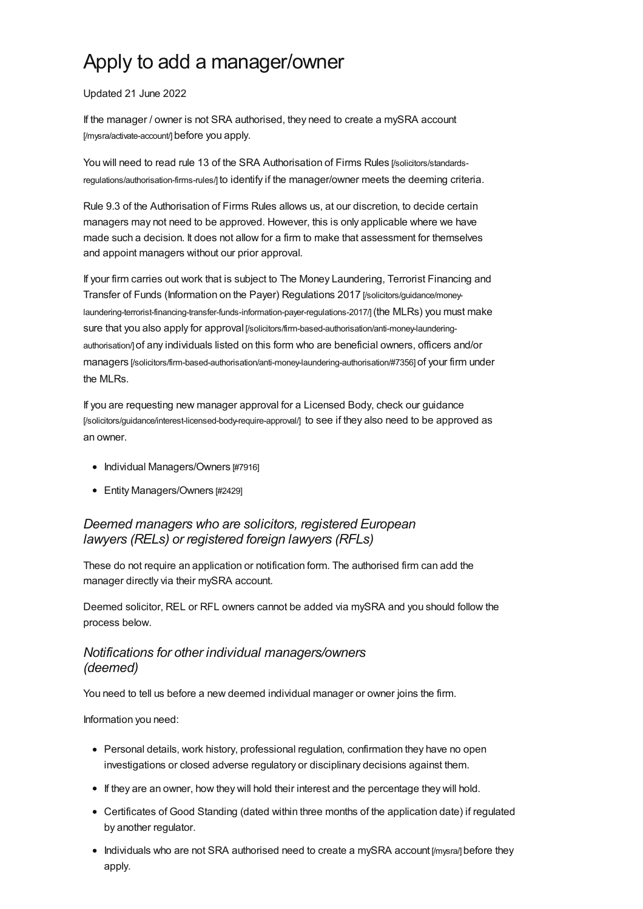# Apply to add a manager/owner

#### Updated 21 June 2022

If the manager / owner is not SRA authorised, they need to create a mySRA account [\[/mysra/activate-account/\]](https://www.sra.org.uk/mysra/activate-account/) before you apply.

You will need to read rule 13 of the SRA Authorisation of Firms Rules [/solicitors/standards[regulations/authorisation-firms-rules/\]](https://www.sra.org.uk/solicitors/standards-regulations/authorisation-firms-rules/) to identify if the manager/owner meets the deeming criteria.

Rule 9.3 of the Authorisation of Firms Rules allows us, at our discretion, to decide certain managers may not need to be approved. However, this is only applicable where we have made such a decision. It does not allow for a firm to make that assessment for themselves and appoint managers without our prior approval.

If your firm carries out work that is subject to The Money Laundering, Terrorist Financing and Transfer of Funds (Information on the Payer) Regulations 2017 [/solicitors/guidance/money[laundering-terrorist-financing-transfer-funds-information-payer-regulations-2017/\]](https://www.sra.org.uk/solicitors/guidance/money-laundering-terrorist-financing-transfer-funds-information-payer-regulations-2017/)(the MLRs) you must make sure that you also apply for approval [\[/solicitors/firm-based-authorisation/anti-money-laundering](https://www.sra.org.uk/solicitors/firm-based-authorisation/anti-money-laundering-authorisation/)authorisation/] of any individuals listed on this form who are beneficial owners, officers and/or managers [\[/solicitors/firm-based-authorisation/anti-money-laundering-authorisation/#7356\]](https://www.sra.org.uk/solicitors/firm-based-authorisation/anti-money-laundering-authorisation/#7356) of your firm under the MLRs.

If you are requesting new manager approval for a Licensed Body, check our guidance [\[/solicitors/guidance/interest-licensed-body-require-approval/\]](https://www.sra.org.uk/solicitors/guidance/interest-licensed-body-require-approval/) to see if they also need to be approved as an owner.

- Individual [Managers/Owners](#page-1-0) [#7916]
- Entity [Managers/Owners](#page-2-0) [#2429]

# *Deemed managers who are solicitors, registered European lawyers (RELs) or registered foreign lawyers (RFLs)*

These do not require an application or notification form. The authorised firm can add the manager directly via their mySRA account.

Deemed solicitor, REL or RFL owners cannot be added via mySRA and you should follow the process below.

# *Notifications for other individual managers/owners (deemed)*

You need to tell us before a new deemed individual manager or owner joins the firm.

Information you need:

- Personal details, work history, professional regulation, confirmation they have no open investigations or closed adverse regulatory or disciplinary decisions against them.
- If they are an owner, how they will hold their interest and the percentage they will hold.
- Certificates of Good Standing (dated within three months of the application date) if regulated by another regulator.
- Individuals who are not SRA authorised need to create a mySRA [account](https://www.sra.org.uk/mysra/) [/mysra/] before they apply.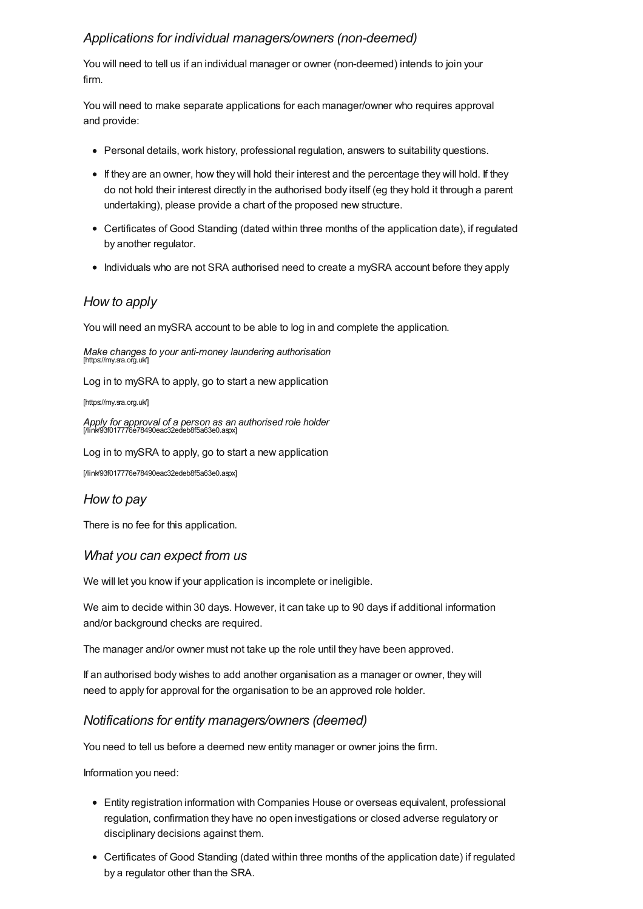# <span id="page-1-0"></span>*Applications for individual managers/owners (non-deemed)*

You will need to tell us if an individual manager or owner (non-deemed) intends to join your firm.

You will need to make separate applications for each manager/owner who requires approval and provide:

- Personal details, work history, professional regulation, answers to suitability questions.
- If they are an owner, how they will hold their interest and the percentage they will hold. If they do not hold their interest directly in the authorised body itself (eg they hold it through a parent undertaking), please provide a chart of the proposed new structure.
- Certificates of Good Standing (dated within three months of the application date), if regulated by another regulator.
- Individuals who are not SRA authorised need to create a mySRA account before they apply

## *How to apply*

You will need an mySRA account to be able to log in and complete the application.

*Make changes to your anti-money laundering authorisation* [https://my.sra.org.uk]

Log in to mySRA to apply, go to start a new application

[\[https://my.sra.org.uk/\]](https://my.sra.org.uk/)

*Apply for approval of a person as an authorised role holder* [/link/93f017776e78490eac32edeb8f5a63e0.aspx]

Log in to mySRA to apply, go to start a new application

[\[/link/93f017776e78490eac32edeb8f5a63e0.aspx\]](https://www.sra.org.uk/link/93f017776e78490eac32edeb8f5a63e0.aspx)

## *How to pay*

There is no fee for this application.

## *What you can expect from us*

We will let you know if your application is incomplete or ineligible.

We aim to decide within 30 days. However, it can take up to 90 days if additional information and/or background checks are required.

The manager and/or owner must not take up the role until they have been approved.

If an authorised body wishes to add another organisation as a manager or owner, they will need to apply for approval for the organisation to be an approved role holder.

## *Notifications for entity managers/owners (deemed)*

You need to tell us before a deemed new entity manager or owner joins the firm.

Information you need:

- Entity registration information with Companies House or overseas equivalent, professional regulation, confirmation they have no open investigations or closed adverse regulatory or disciplinary decisions against them.
- Certificates of Good Standing (dated within three months of the application date) if regulated by a regulator other than the SRA.